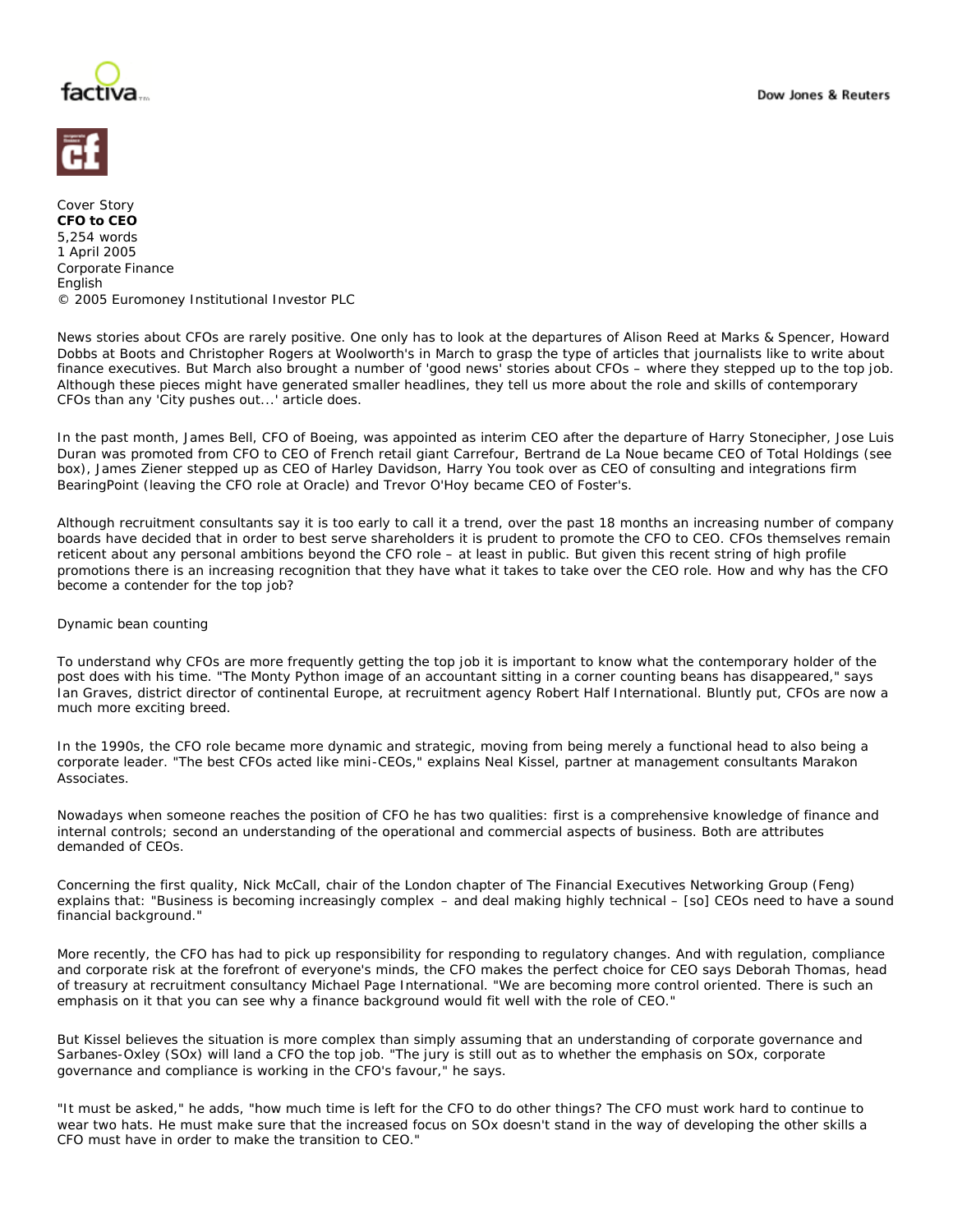



Cover Story **CFO to CEO**  5,254 words 1 April 2005 Corporate Finance English © 2005 Euromoney Institutional Investor PLC

News stories about CFOs are rarely positive. One only has to look at the departures of Alison Reed at Marks & Spencer, Howard Dobbs at Boots and Christopher Rogers at Woolworth's in March to grasp the type of articles that journalists like to write about finance executives. But March also brought a number of 'good news' stories about CFOs – where they stepped up to the top job. Although these pieces might have generated smaller headlines, they tell us more about the role and skills of contemporary CFOs than any 'City pushes out...' article does.

In the past month, James Bell, CFO of Boeing, was appointed as interim CEO after the departure of Harry Stonecipher, Jose Luis Duran was promoted from CFO to CEO of French retail giant Carrefour, Bertrand de La Noue became CEO of Total Holdings (see box), James Ziener stepped up as CEO of Harley Davidson, Harry You took over as CEO of consulting and integrations firm BearingPoint (leaving the CFO role at Oracle) and Trevor O'Hoy became CEO of Foster's.

Although recruitment consultants say it is too early to call it a trend, over the past 18 months an increasing number of company boards have decided that in order to best serve shareholders it is prudent to promote the CFO to CEO. CFOs themselves remain reticent about any personal ambitions beyond the CFO role – at least in public. But given this recent string of high profile promotions there is an increasing recognition that they have what it takes to take over the CEO role. How and why has the CFO become a contender for the top job?

## Dynamic bean counting

To understand why CFOs are more frequently getting the top job it is important to know what the contemporary holder of the post does with his time. "The Monty Python image of an accountant sitting in a corner counting beans has disappeared," says Ian Graves, district director of continental Europe, at recruitment agency Robert Half International. Bluntly put, CFOs are now a much more exciting breed.

In the 1990s, the CFO role became more dynamic and strategic, moving from being merely a functional head to also being a corporate leader. "The best CFOs acted like mini-CEOs," explains Neal Kissel, partner at management consultants Marakon Associates.

Nowadays when someone reaches the position of CFO he has two qualities: first is a comprehensive knowledge of finance and internal controls; second an understanding of the operational and commercial aspects of business. Both are attributes demanded of CEOs.

Concerning the first quality, Nick McCall, chair of the London chapter of The Financial Executives Networking Group (Feng) explains that: "Business is becoming increasingly complex – and deal making highly technical – [so] CEOs need to have a sound financial background."

More recently, the CFO has had to pick up responsibility for responding to regulatory changes. And with regulation, compliance and corporate risk at the forefront of everyone's minds, the CFO makes the perfect choice for CEO says Deborah Thomas, head of treasury at recruitment consultancy Michael Page International. "We are becoming more control oriented. There is such an emphasis on it that you can see why a finance background would fit well with the role of CEO."

But Kissel believes the situation is more complex than simply assuming that an understanding of corporate governance and Sarbanes-Oxley (SOx) will land a CFO the top job. "The jury is still out as to whether the emphasis on SOx, corporate governance and compliance is working in the CFO's favour," he says.

"It must be asked," he adds, "how much time is left for the CFO to do other things? The CFO must work hard to continue to wear two hats. He must make sure that the increased focus on SOx doesn't stand in the way of developing the other skills a CFO must have in order to make the transition to CEO."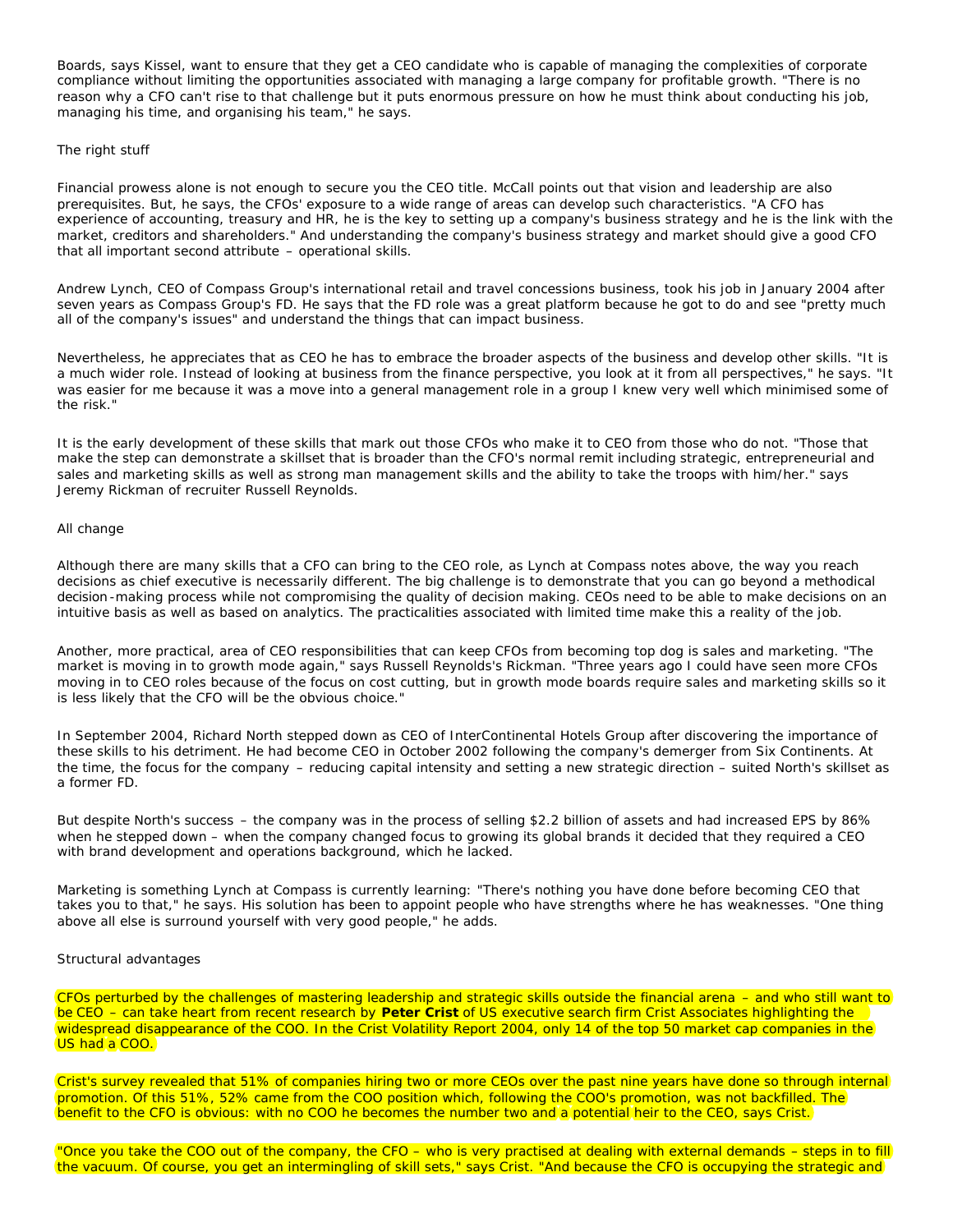Boards, says Kissel, want to ensure that they get a CEO candidate who is capable of managing the complexities of corporate compliance without limiting the opportunities associated with managing a large company for profitable growth. "There is no reason why a CFO can't rise to that challenge but it puts enormous pressure on how he must think about conducting his job, managing his time, and organising his team," he says.

# The right stuff

Financial prowess alone is not enough to secure you the CEO title. McCall points out that vision and leadership are also prerequisites. But, he says, the CFOs' exposure to a wide range of areas can develop such characteristics. "A CFO has experience of accounting, treasury and HR, he is the key to setting up a company's business strategy and he is the link with the market, creditors and shareholders." And understanding the company's business strategy and market should give a good CFO that all important second attribute – operational skills.

Andrew Lynch, CEO of Compass Group's international retail and travel concessions business, took his job in January 2004 after seven years as Compass Group's FD. He says that the FD role was a great platform because he got to do and see "pretty much all of the company's issues" and understand the things that can impact business.

Nevertheless, he appreciates that as CEO he has to embrace the broader aspects of the business and develop other skills. "It is a much wider role. Instead of looking at business from the finance perspective, you look at it from all perspectives," he says. "It was easier for me because it was a move into a general management role in a group I knew very well which minimised some of the risk."

It is the early development of these skills that mark out those CFOs who make it to CEO from those who do not. "Those that make the step can demonstrate a skillset that is broader than the CFO's normal remit including strategic, entrepreneurial and sales and marketing skills as well as strong man management skills and the ability to take the troops with him/her." says Jeremy Rickman of recruiter Russell Reynolds.

## All change

Although there are many skills that a CFO can bring to the CEO role, as Lynch at Compass notes above, the way you reach decisions as chief executive is necessarily different. The big challenge is to demonstrate that you can go beyond a methodical decision -making process while not compromising the quality of decision making. CEOs need to be able to make decisions on an intuitive basis as well as based on analytics. The practicalities associated with limited time make this a reality of the job.

Another, more practical, area of CEO responsibilities that can keep CFOs from becoming top dog is sales and marketing. "The market is moving in to growth mode again," says Russell Reynolds's Rickman. "Three years ago I could have seen more CFOs moving in to CEO roles because of the focus on cost cutting, but in growth mode boards require sales and marketing skills so it is less likely that the CFO will be the obvious choice."

In September 2004, Richard North stepped down as CEO of InterContinental Hotels Group after discovering the importance of these skills to his detriment. He had become CEO in October 2002 following the company's demerger from Six Continents. At the time, the focus for the company – reducing capital intensity and setting a new strategic direction – suited North's skillset as a former FD.

But despite North's success – the company was in the process of selling \$2.2 billion of assets and had increased EPS by 86% when he stepped down – when the company changed focus to growing its global brands it decided that they required a CEO with brand development and operations background, which he lacked.

Marketing is something Lynch at Compass is currently learning: "There's nothing you have done before becoming CEO that takes you to that," he says. His solution has been to appoint people who have strengths where he has weaknesses. "One thing above all else is surround yourself with very good people," he adds.

## Structural advantages

CFOs perturbed by the challenges of mastering leadership and strategic skills outside the financial arena – and who still want to be CEO – can take heart from recent research by **Peter Crist** of US executive search firm Crist Associates highlighting the widespread disappearance of the COO. In the Crist Volatility Report 2004, only 14 of the top 50 market cap companies in the US had a COO.

Crist's survey revealed that 51% of companies hiring two or more CEOs over the past nine years have done so through internal) promotion. Of this 51%, 52% came from the COO position which, following the COO's promotion, was not backfilled. The benefit to the CFO is obvious: with no COO he becomes the number two and a potential heir to the CEO, says Crist.

"Once you take the COO out of the company, the CFO – who is very practised at dealing with external demands – steps in to fill the vacuum. Of course, you get an intermingling of skill sets," says Crist. "And because the CFO is occupying the strategic and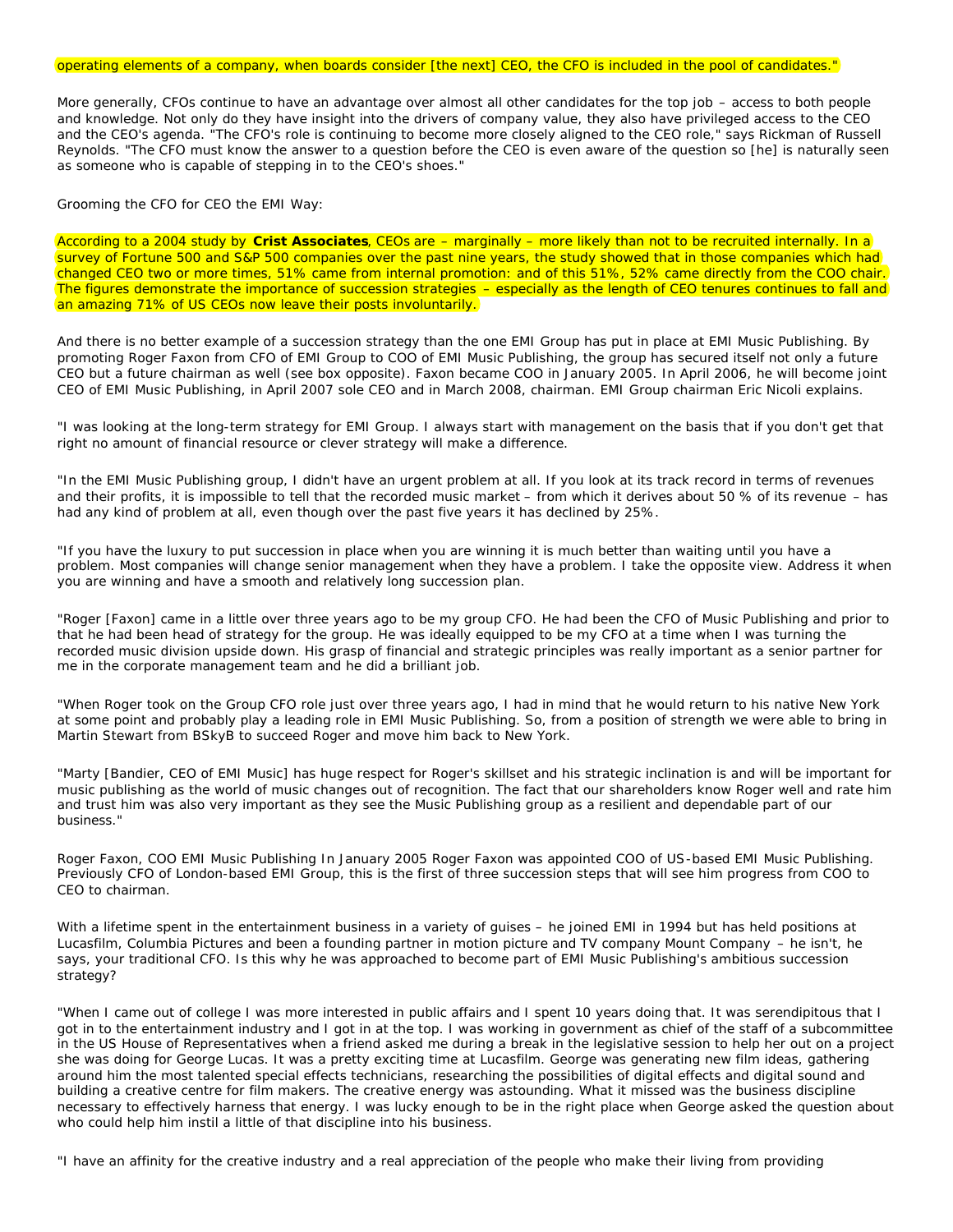#### operating elements of a company, when boards consider [the next] CEO, the CFO is included in the pool of candidates."

More generally, CFOs continue to have an advantage over almost all other candidates for the top job – access to both people and knowledge. Not only do they have insight into the drivers of company value, they also have privileged access to the CEO and the CEO's agenda. "The CFO's role is continuing to become more closely aligned to the CEO role," says Rickman of Russell Reynolds. "The CFO must know the answer to a question before the CEO is even aware of the question so [he] is naturally seen as someone who is capable of stepping in to the CEO's shoes."

Grooming the CFO for CEO the EMI Way:

According to a 2004 study by **Crist Associates**, CEOs are – marginally – more likely than not to be recruited internally. In a survey of Fortune 500 and S&P 500 companies over the past nine years, the study showed that in those companies which had changed CEO two or more times, 51% came from internal promotion: and of this 51%, 52% came directly from the COO chair. The figures demonstrate the importance of succession strategies – especially as the length of CEO tenures continues to fall and an amazing 71% of US CEOs now leave their posts involuntarily.

And there is no better example of a succession strategy than the one EMI Group has put in place at EMI Music Publishing. By promoting Roger Faxon from CFO of EMI Group to COO of EMI Music Publishing, the group has secured itself not only a future CEO but a future chairman as well (see box opposite). Faxon became COO in January 2005. In April 2006, he will become joint CEO of EMI Music Publishing, in April 2007 sole CEO and in March 2008, chairman. EMI Group chairman Eric Nicoli explains.

"I was looking at the long-term strategy for EMI Group. I always start with management on the basis that if you don't get that right no amount of financial resource or clever strategy will make a difference.

"In the EMI Music Publishing group, I didn't have an urgent problem at all. If you look at its track record in terms of revenues and their profits, it is impossible to tell that the recorded music market – from which it derives about 50 % of its revenue – has had any kind of problem at all, even though over the past five years it has declined by 25%.

"If you have the luxury to put succession in place when you are winning it is much better than waiting until you have a problem. Most companies will change senior management when they have a problem. I take the opposite view. Address it when you are winning and have a smooth and relatively long succession plan.

"Roger [Faxon] came in a little over three years ago to be my group CFO. He had been the CFO of Music Publishing and prior to that he had been head of strategy for the group. He was ideally equipped to be my CFO at a time when I was turning the recorded music division upside down. His grasp of financial and strategic principles was really important as a senior partner for me in the corporate management team and he did a brilliant job.

"When Roger took on the Group CFO role just over three years ago, I had in mind that he would return to his native New York at some point and probably play a leading role in EMI Music Publishing. So, from a position of strength we were able to bring in Martin Stewart from BSkyB to succeed Roger and move him back to New York.

"Marty [Bandier, CEO of EMI Music] has huge respect for Roger's skillset and his strategic inclination is and will be important for music publishing as the world of music changes out of recognition. The fact that our shareholders know Roger well and rate him and trust him was also very important as they see the Music Publishing group as a resilient and dependable part of our business."

Roger Faxon, COO EMI Music Publishing In January 2005 Roger Faxon was appointed COO of US-based EMI Music Publishing. Previously CFO of London-based EMI Group, this is the first of three succession steps that will see him progress from COO to CEO to chairman.

With a lifetime spent in the entertainment business in a variety of quises – he joined EMI in 1994 but has held positions at Lucasfilm, Columbia Pictures and been a founding partner in motion picture and TV company Mount Company – he isn't, he says, your traditional CFO. Is this why he was approached to become part of EMI Music Publishing's ambitious succession strategy?

"When I came out of college I was more interested in public affairs and I spent 10 years doing that. It was serendipitous that I got in to the entertainment industry and I got in at the top. I was working in government as chief of the staff of a subcommittee in the US House of Representatives when a friend asked me during a break in the legislative session to help her out on a project she was doing for George Lucas. It was a pretty exciting time at Lucasfilm. George was generating new film ideas, gathering around him the most talented special effects technicians, researching the possibilities of digital effects and digital sound and building a creative centre for film makers. The creative energy was astounding. What it missed was the business discipline necessary to effectively harness that energy. I was lucky enough to be in the right place when George asked the question about who could help him instil a little of that discipline into his business.

"I have an affinity for the creative industry and a real appreciation of the people who make their living from providing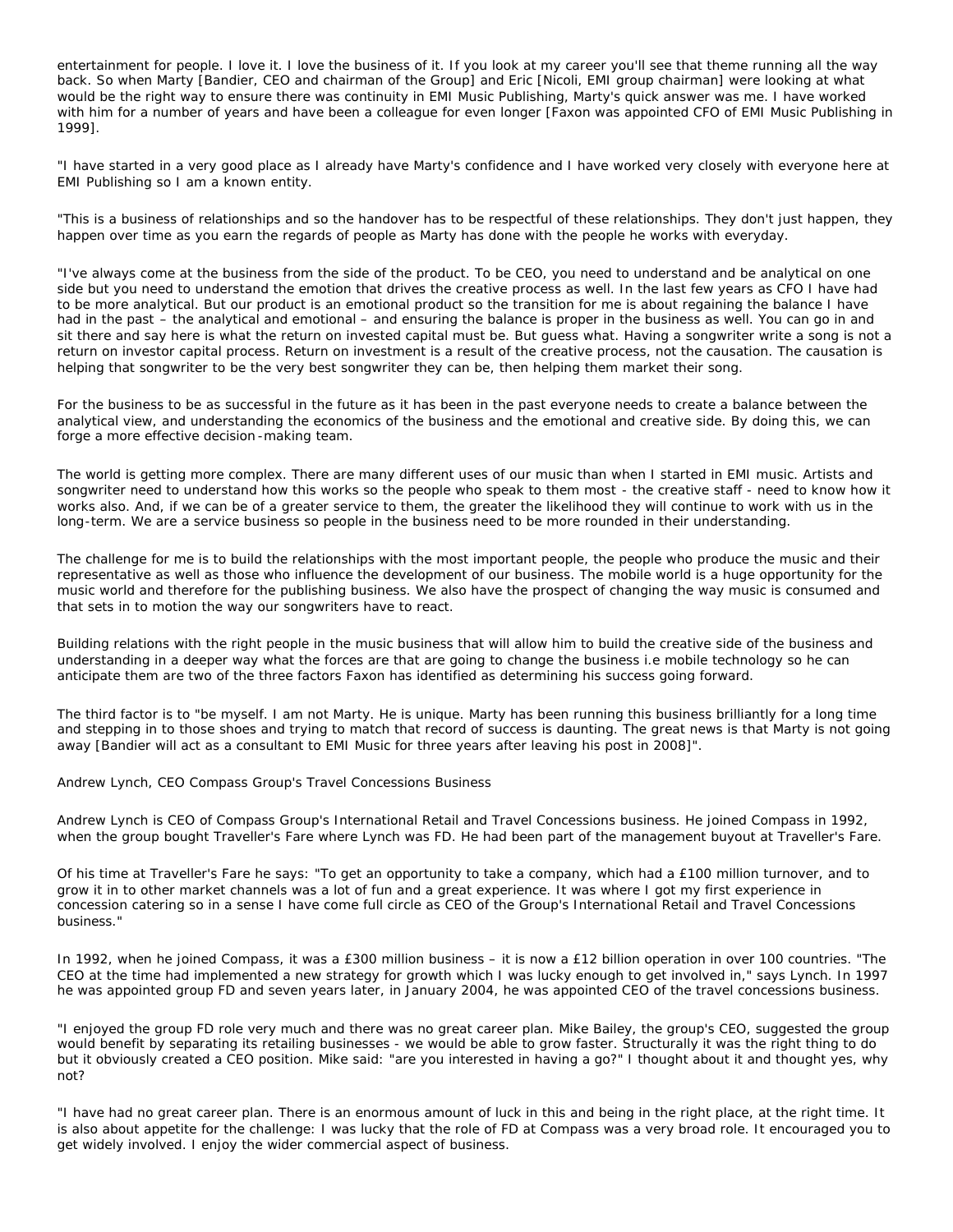entertainment for people. I love it. I love the business of it. If you look at my career you'll see that theme running all the way back. So when Marty [Bandier, CEO and chairman of the Group] and Eric [Nicoli, EMI group chairman] were looking at what would be the right way to ensure there was continuity in EMI Music Publishing, Marty's quick answer was me. I have worked with him for a number of years and have been a colleague for even longer [Faxon was appointed CFO of EMI Music Publishing in 1999].

"I have started in a very good place as I already have Marty's confidence and I have worked very closely with everyone here at EMI Publishing so I am a known entity.

"This is a business of relationships and so the handover has to be respectful of these relationships. They don't just happen, they happen over time as you earn the regards of people as Marty has done with the people he works with everyday.

"I've always come at the business from the side of the product. To be CEO, you need to understand and be analytical on one side but you need to understand the emotion that drives the creative process as well. In the last few years as CFO I have had to be more analytical. But our product is an emotional product so the transition for me is about regaining the balance I have had in the past – the analytical and emotional – and ensuring the balance is proper in the business as well. You can go in and sit there and say here is what the return on invested capital must be. But guess what. Having a songwriter write a song is not a return on investor capital process. Return on investment is a result of the creative process, not the causation. The causation is helping that songwriter to be the very best songwriter they can be, then helping them market their song.

For the business to be as successful in the future as it has been in the past everyone needs to create a balance between the analytical view, and understanding the economics of the business and the emotional and creative side. By doing this, we can forge a more effective decision -making team.

The world is getting more complex. There are many different uses of our music than when I started in EMI music. Artists and songwriter need to understand how this works so the people who speak to them most - the creative staff - need to know how it works also. And, if we can be of a greater service to them, the greater the likelihood they will continue to work with us in the long-term. We are a service business so people in the business need to be more rounded in their understanding.

The challenge for me is to build the relationships with the most important people, the people who produce the music and their representative as well as those who influence the development of our business. The mobile world is a huge opportunity for the music world and therefore for the publishing business. We also have the prospect of changing the way music is consumed and that sets in to motion the way our songwriters have to react.

Building relations with the right people in the music business that will allow him to build the creative side of the business and understanding in a deeper way what the forces are that are going to change the business i.e mobile technology so he can anticipate them are two of the three factors Faxon has identified as determining his success going forward.

The third factor is to "be myself. I am not Marty. He is unique. Marty has been running this business brilliantly for a long time and stepping in to those shoes and trying to match that record of success is daunting. The great news is that Marty is not going away [Bandier will act as a consultant to EMI Music for three years after leaving his post in 2008]".

Andrew Lynch, CEO Compass Group's Travel Concessions Business

Andrew Lynch is CEO of Compass Group's International Retail and Travel Concessions business. He joined Compass in 1992, when the group bought Traveller's Fare where Lynch was FD. He had been part of the management buyout at Traveller's Fare.

Of his time at Traveller's Fare he says: "To get an opportunity to take a company, which had a £100 million turnover, and to grow it in to other market channels was a lot of fun and a great experience. It was where I got my first experience in concession catering so in a sense I have come full circle as CEO of the Group's International Retail and Travel Concessions business."

In 1992, when he joined Compass, it was a £300 million business – it is now a £12 billion operation in over 100 countries. "The CEO at the time had implemented a new strategy for growth which I was lucky enough to get involved in," says Lynch. In 1997 he was appointed group FD and seven years later, in January 2004, he was appointed CEO of the travel concessions business.

"I enjoyed the group FD role very much and there was no great career plan. Mike Bailey, the group's CEO, suggested the group would benefit by separating its retailing businesses - we would be able to grow faster. Structurally it was the right thing to do but it obviously created a CEO position. Mike said: "are you interested in having a go?" I thought about it and thought yes, why not?

"I have had no great career plan. There is an enormous amount of luck in this and being in the right place, at the right time. It is also about appetite for the challenge: I was lucky that the role of FD at Compass was a very broad role. It encouraged you to get widely involved. I enjoy the wider commercial aspect of business.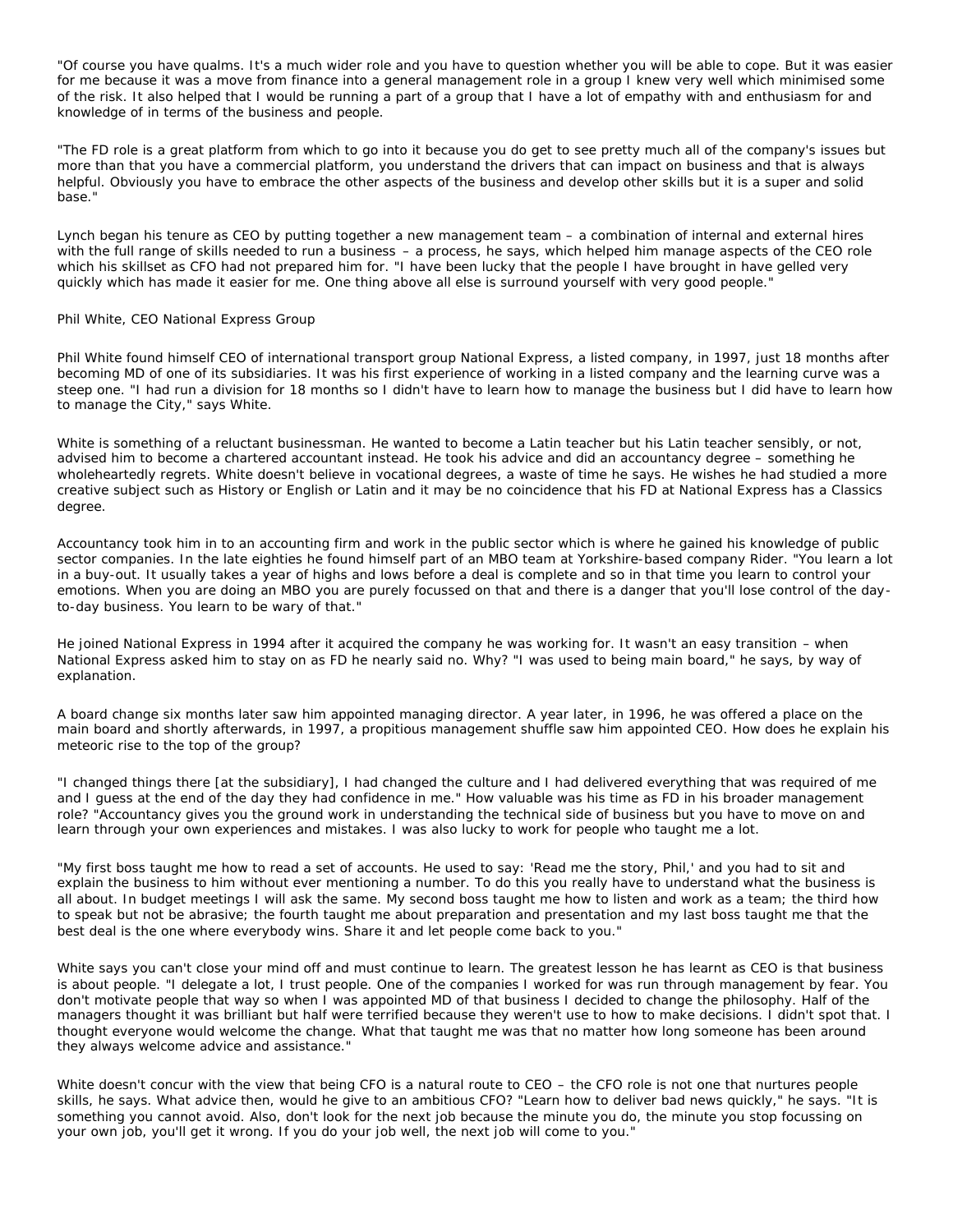"Of course you have qualms. It's a much wider role and you have to question whether you will be able to cope. But it was easier for me because it was a move from finance into a general management role in a group I knew very well which minimised some of the risk. It also helped that I would be running a part of a group that I have a lot of empathy with and enthusiasm for and knowledge of in terms of the business and people.

"The FD role is a great platform from which to go into it because you do get to see pretty much all of the company's issues but more than that you have a commercial platform, you understand the drivers that can impact on business and that is always helpful. Obviously you have to embrace the other aspects of the business and develop other skills but it is a super and solid base."

Lynch began his tenure as CEO by putting together a new management team – a combination of internal and external hires with the full range of skills needed to run a business – a process, he says, which helped him manage aspects of the CEO role which his skillset as CFO had not prepared him for. "I have been lucky that the people I have brought in have gelled very quickly which has made it easier for me. One thing above all else is surround yourself with very good people."

## Phil White, CEO National Express Group

Phil White found himself CEO of international transport group National Express, a listed company, in 1997, just 18 months after becoming MD of one of its subsidiaries. It was his first experience of working in a listed company and the learning curve was a steep one. "I had run a division for 18 months so I didn't have to learn how to manage the business but I did have to learn how to manage the City," says White.

White is something of a reluctant businessman. He wanted to become a Latin teacher but his Latin teacher sensibly, or not, advised him to become a chartered accountant instead. He took his advice and did an accountancy degree – something he wholeheartedly regrets. White doesn't believe in vocational degrees, a waste of time he says. He wishes he had studied a more creative subject such as History or English or Latin and it may be no coincidence that his FD at National Express has a Classics degree.

Accountancy took him in to an accounting firm and work in the public sector which is where he gained his knowledge of public sector companies. In the late eighties he found himself part of an MBO team at Yorkshire-based company Rider. "You learn a lot in a buy-out. It usually takes a year of highs and lows before a deal is complete and so in that time you learn to control your emotions. When you are doing an MBO you are purely focussed on that and there is a danger that you'll lose control of the dayto-day business. You learn to be wary of that."

He joined National Express in 1994 after it acquired the company he was working for. It wasn't an easy transition – when National Express asked him to stay on as FD he nearly said no. Why? "I was used to being main board," he says, by way of explanation.

A board change six months later saw him appointed managing director. A year later, in 1996, he was offered a place on the main board and shortly afterwards, in 1997, a propitious management shuffle saw him appointed CEO. How does he explain his meteoric rise to the top of the group?

"I changed things there [at the subsidiary], I had changed the culture and I had delivered everything that was required of me and I guess at the end of the day they had confidence in me." How valuable was his time as FD in his broader management role? "Accountancy gives you the ground work in understanding the technical side of business but you have to move on and learn through your own experiences and mistakes. I was also lucky to work for people who taught me a lot.

"My first boss taught me how to read a set of accounts. He used to say: 'Read me the story, Phil,' and you had to sit and explain the business to him without ever mentioning a number. To do this you really have to understand what the business is all about. In budget meetings I will ask the same. My second boss taught me how to listen and work as a team; the third how to speak but not be abrasive; the fourth taught me about preparation and presentation and my last boss taught me that the best deal is the one where everybody wins. Share it and let people come back to you."

White says you can't close your mind off and must continue to learn. The greatest lesson he has learnt as CEO is that business is about people. "I delegate a lot, I trust people. One of the companies I worked for was run through management by fear. You don't motivate people that way so when I was appointed MD of that business I decided to change the philosophy. Half of the managers thought it was brilliant but half were terrified because they weren't use to how to make decisions. I didn't spot that. I thought everyone would welcome the change. What that taught me was that no matter how long someone has been around they always welcome advice and assistance."

White doesn't concur with the view that being CFO is a natural route to CEO – the CFO role is not one that nurtures people skills, he says. What advice then, would he give to an ambitious CFO? "Learn how to deliver bad news quickly," he says. "It is something you cannot avoid. Also, don't look for the next job because the minute you do, the minute you stop focussing on your own job, you'll get it wrong. If you do your job well, the next job will come to you."